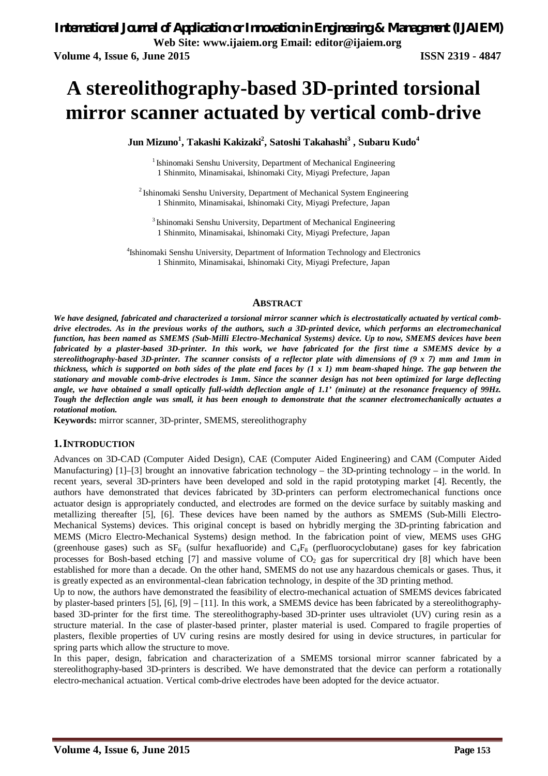# A stereolithography-based 3D-printed torsional **mirror scanner actuated by vertical comb-drive**

**Networks Jun Mizuno<sup>1</sup> , Takashi Kakizaki<sup>2</sup> , Satoshi Takahashi<sup>3</sup> , Subaru Kudo<sup>4</sup>**

<sup>1</sup> Ishinomaki Senshu University, Department of Mechanical Engineering 1 Shinmito, Minamisakai, Ishinomaki City, Miyagi Prefecture, Japan

 $2$ Ishinomaki Senshu University, Department of Mechanical System Engineering 1 Shinmito, Minamisakai, Ishinomaki City, Miyagi Prefecture, Japan

 $3$ Ishinomaki Senshu University, Department of Mechanical Engineering 1 Shinmito, Minamisakai, Ishinomaki City, Miyagi Prefecture, Japan

4 Ishinomaki Senshu University, Department of Information Technology and Electronics 1 Shinmito, Minamisakai, Ishinomaki City, Miyagi Prefecture, Japan

#### **ABSTRACT**

We have designed, fabricated and characterized a torsional mirror scanner which is electrostatically actuated by vertical comb*drive electrodes. As in the previous works of the authors, such a 3D-printed device, which performs an electromechanical function, has been named as SMEMS (Sub-Milli Electro-Mechanical Systems) device. Up to now, SMEMS devices have been fabricated by a plaster-based 3D-printer. In this work, we have fabricated for the first time a SMEMS device by a stereolithography-based 3D-printer. The scanner consists of a reflector plate with dimensions of (9 x 7) mm and 1mm in thickness, which is supported on both sides of the plate end faces by (1 x 1) mm beam-shaped hinge. The gap between the stationary and movable comb-drive electrodes is 1mm. Since the scanner design has not been optimized for large deflecting angle, we have obtained a small optically full-width deflection angle of 1.1' (minute) at the resonance frequency of 99Hz. Tough the deflection angle was small, it has been enough to demonstrate that the scanner electromechanically actuates a rotational motion.*

**Keywords:** mirror scanner, 3D-printer, SMEMS, stereolithography

#### **1.INTRODUCTION**

Advances on 3D-CAD (Computer Aided Design), CAE (Computer Aided Engineering) and CAM (Computer Aided Manufacturing) [1]–[3] brought an innovative fabrication technology – the 3D-printing technology – in the world. In recent years, several 3D-printers have been developed and sold in the rapid prototyping market [4]. Recently, the authors have demonstrated that devices fabricated by 3D-printers can perform electromechanical functions once actuator design is appropriately conducted, and electrodes are formed on the device surface by suitably masking and metallizing thereafter [5], [6]. These devices have been named by the authors as SMEMS (Sub-Milli Electro-Mechanical Systems) devices. This original concept is based on hybridly merging the 3D-printing fabrication and MEMS (Micro Electro-Mechanical Systems) design method. In the fabrication point of view, MEMS uses GHG (greenhouse gases) such as  $SF_6$  (sulfur hexafluoride) and  $C_4F_8$  (perfluorocyclobutane) gases for key fabrication processes for Bosh-based etching [7] and massive volume of  $CO<sub>2</sub>$  gas for supercritical dry [8] which have been established for more than a decade. On the other hand, SMEMS do not use any hazardous chemicals or gases. Thus, it is greatly expected as an environmental-clean fabrication technology, in despite of the 3D printing method.

Up to now, the authors have demonstrated the feasibility of electro-mechanical actuation of SMEMS devices fabricated by plaster-based printers [5], [6], [9] – [11]. In this work, a SMEMS device has been fabricated by a stereolithographybased 3D-printer for the first time. The stereolithography-based 3D-printer uses ultraviolet (UV) curing resin as a structure material. In the case of plaster-based printer, plaster material is used. Compared to fragile properties of plasters, flexible properties of UV curing resins are mostly desired for using in device structures, in particular for spring parts which allow the structure to move.

In this paper, design, fabrication and characterization of a SMEMS torsional mirror scanner fabricated by a stereolithography-based 3D-printers is described. We have demonstrated that the device can perform a rotationally electro-mechanical actuation. Vertical comb-drive electrodes have been adopted for the device actuator.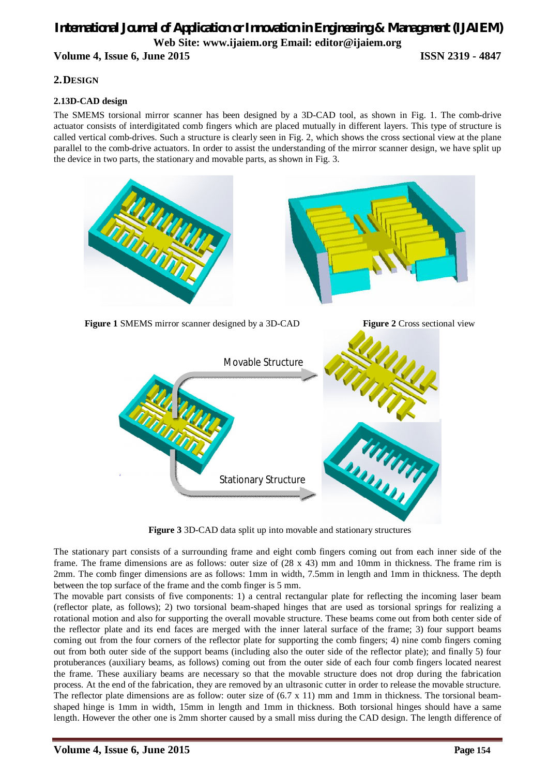#### **2.DESIGN**

#### **2.13D-CAD design**

The SMEMS torsional mirror scanner has been designed by a 3D-CAD tool, as shown in Fig. 1. The comb-drive actuator consists of interdigitated comb fingers which are placed mutually in different layers. This type of structure is called vertical comb-drives. Such a structure is clearly seen in Fig. 2, which shows the cross sectional view at the plane parallel to the comb-drive actuators. In order to assist the understanding of the mirror scanner design, we have split up the device in two parts, the stationary and movable parts, as shown in Fig. 3.



**Figure 3** 3D-CAD data split up into movable and stationary structures

The stationary part consists of a surrounding frame and eight comb fingers coming out from each inner side of the frame. The frame dimensions are as follows: outer size of (28 x 43) mm and 10mm in thickness. The frame rim is 2mm. The comb finger dimensions are as follows: 1mm in width, 7.5mm in length and 1mm in thickness. The depth between the top surface of the frame and the comb finger is 5 mm.

The movable part consists of five components: 1) a central rectangular plate for reflecting the incoming laser beam (reflector plate, as follows); 2) two torsional beam-shaped hinges that are used as torsional springs for realizing a rotational motion and also for supporting the overall movable structure. These beams come out from both center side of the reflector plate and its end faces are merged with the inner lateral surface of the frame; 3) four support beams coming out from the four corners of the reflector plate for supporting the comb fingers; 4) nine comb fingers coming out from both outer side of the support beams (including also the outer side of the reflector plate); and finally 5) four protuberances (auxiliary beams, as follows) coming out from the outer side of each four comb fingers located nearest the frame. These auxiliary beams are necessary so that the movable structure does not drop during the fabrication process. At the end of the fabrication, they are removed by an ultrasonic cutter in order to release the movable structure. The reflector plate dimensions are as follow: outer size of  $(6.7 \times 11)$  mm and 1mm in thickness. The torsional beamshaped hinge is 1mm in width, 15mm in length and 1mm in thickness. Both torsional hinges should have a same length. However the other one is 2mm shorter caused by a small miss during the CAD design. The length difference of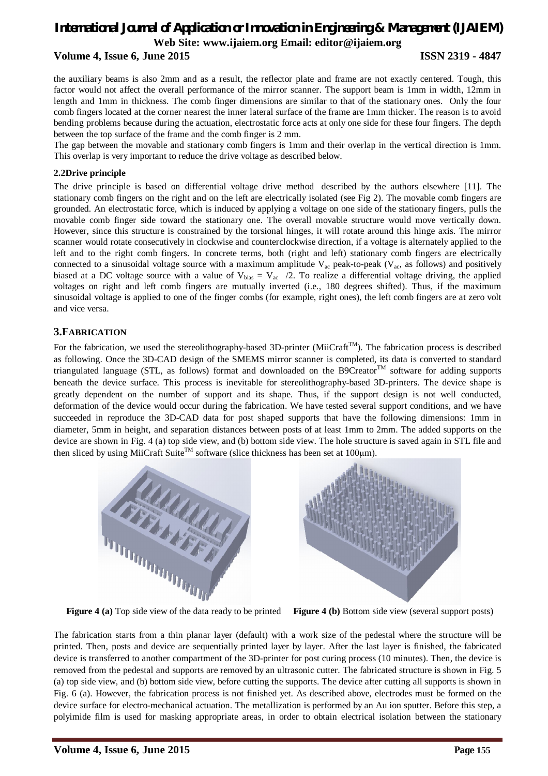# *International Journal of Application or Innovation in Engineering & Management (IJAIEM)* **Web Site: www.ijaiem.org Email: editor@ijaiem.org**

#### **Volume 4, Issue 6, June 2015 ISSN 2319 - 4847**

the auxiliary beams is also 2mm and as a result, the reflector plate and frame are not exactly centered. Tough, this factor would not affect the overall performance of the mirror scanner. The support beam is 1mm in width, 12mm in length and 1mm in thickness. The comb finger dimensions are similar to that of the stationary ones. Only the four comb fingers located at the corner nearest the inner lateral surface of the frame are 1mm thicker. The reason is to avoid bending problems because during the actuation, electrostatic force acts at only one side for these four fingers. The depth between the top surface of the frame and the comb finger is 2 mm.

The gap between the movable and stationary comb fingers is 1mm and their overlap in the vertical direction is 1mm. This overlap is very important to reduce the drive voltage as described below.

#### **2.2Drive principle**

The drive principle is based on differential voltage drive method described by the authors elsewhere [11]. The stationary comb fingers on the right and on the left are electrically isolated (see Fig 2). The movable comb fingers are grounded. An electrostatic force, which is induced by applying a voltage on one side of the stationary fingers, pulls the movable comb finger side toward the stationary one. The overall movable structure would move vertically down. However, since this structure is constrained by the torsional hinges, it will rotate around this hinge axis. The mirror scanner would rotate consecutively in clockwise and counterclockwise direction, if a voltage is alternately applied to the left and to the right comb fingers. In concrete terms, both (right and left) stationary comb fingers are electrically connected to a sinusoidal voltage source with a maximum amplitude  $V_{ac}$  peak-to-peak ( $V_{ac}$ , as follows) and positively biased at a DC voltage source with a value of  $V_{bias} = V_{ac}$  /2. To realize a differential voltage driving, the applied voltages on right and left comb fingers are mutually inverted (i.e., 180 degrees shifted). Thus, if the maximum sinusoidal voltage is applied to one of the finger combs (for example, right ones), the left comb fingers are at zero volt and vice versa.

#### **3.FABRICATION**

For the fabrication, we used the stereolithography-based 3D-printer (MiiCraft<sup>TM</sup>). The fabrication process is described as following. Once the 3D-CAD design of the SMEMS mirror scanner is completed, its data is converted to standard triangulated language (STL, as follows) format and downloaded on the B9Creator<sup>TM</sup> software for adding supports beneath the device surface. This process is inevitable for stereolithography-based 3D-printers. The device shape is greatly dependent on the number of support and its shape. Thus, if the support design is not well conducted, deformation of the device would occur during the fabrication. We have tested several support conditions, and we have succeeded in reproduce the 3D-CAD data for post shaped supports that have the following dimensions: 1mm in diameter, 5mm in height, and separation distances between posts of at least 1mm to 2mm. The added supports on the device are shown in Fig. 4 (a) top side view, and (b) bottom side view. The hole structure is saved again in STL file and then sliced by using MiiCraft Suite<sup>TM</sup> software (slice thickness has been set at 100 km).



**Figure 4 (a)** Top side view of the data ready to be printed **Figure 4 (b)** Bottom side view (several support posts)

The fabrication starts from a thin planar layer (default) with a work size of the pedestal where the structure will be printed. Then, posts and device are sequentially printed layer by layer. After the last layer is finished, the fabricated device is transferred to another compartment of the 3D-printer for post curing process (10 minutes). Then, the device is removed from the pedestal and supports are removed by an ultrasonic cutter. The fabricated structure is shown in Fig. 5 (a) top side view, and (b) bottom side view, before cutting the supports. The device after cutting all supports is shown in Fig. 6 (a). However, the fabrication process is not finished yet. As described above, electrodes must be formed on the device surface for electro-mechanical actuation. The metallization is performed by an Au ion sputter. Before this step, a polyimide film is used for masking appropriate areas, in order to obtain electrical isolation between the stationary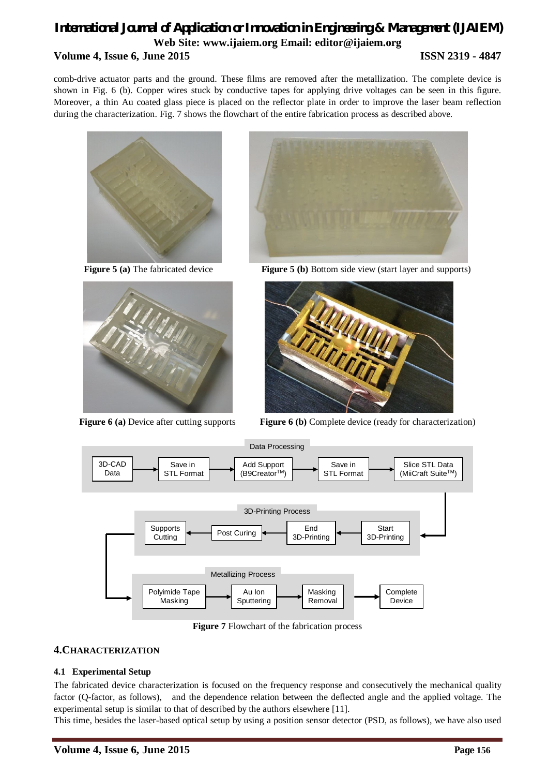comb-drive actuator parts and the ground. These films are removed after the metallization. The complete device is shown in Fig. 6 (b). Copper wires stuck by conductive tapes for applying drive voltages can be seen in this figure. Moreover, a thin Au coated glass piece is placed on the reflector plate in order to improve the laser beam reflection during the characterization. Fig. 7 shows the flowchart of the entire fabrication process as described above.







**Figure 5 (a)** The fabricated device **Figure 5 (b)** Bottom side view (start layer and supports)



**Figure 6** (a) Device after cutting supports **Figure 6** (b) Complete device (ready for characterization)



**Figure 7** Flowchart of the fabrication process

### **4.CHARACTERIZATION**

#### **4.1 Experimental Setup**

The fabricated device characterization is focused on the frequency response and consecutively the mechanical quality factor (Q-factor, as follows), and the dependence relation between the deflected angle and the applied voltage. The experimental setup is similar to that of described by the authors elsewhere [11].

This time, besides the laser-based optical setup by using a position sensor detector (PSD, as follows), we have also used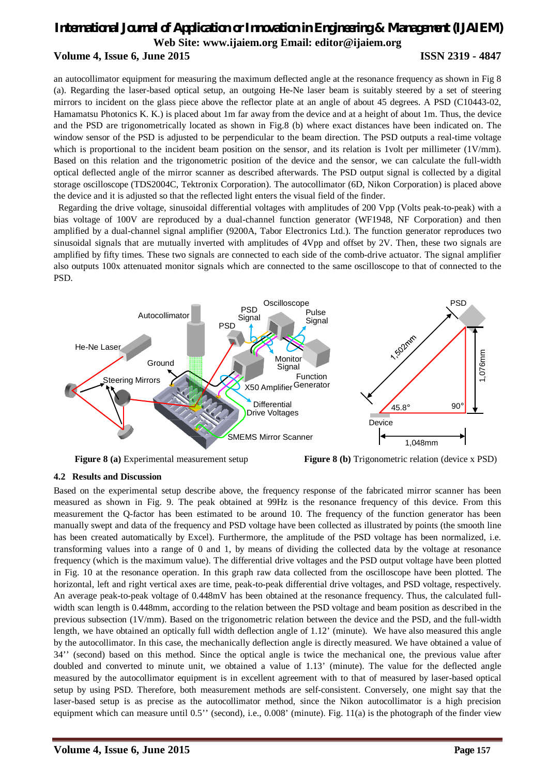an autocollimator equipment for measuring the maximum deflected angle at the resonance frequency as shown in Fig 8 (a). Regarding the laser-based optical setup, an outgoing He-Ne laser beam is suitably steered by a set of steering mirrors to incident on the glass piece above the reflector plate at an angle of about 45 degrees. A PSD (C10443-02, Hamamatsu Photonics K. K.) is placed about 1m far away from the device and at a height of about 1m. Thus, the device and the PSD are trigonometrically located as shown in Fig.8 (b) where exact distances have been indicated on. The window sensor of the PSD is adjusted to be perpendicular to the beam direction. The PSD outputs a real-time voltage which is proportional to the incident beam position on the sensor, and its relation is 1volt per millimeter (1V/mm). Based on this relation and the trigonometric position of the device and the sensor, we can calculate the full-width optical deflected angle of the mirror scanner as described afterwards. The PSD output signal is collected by a digital storage oscilloscope (TDS2004C, Tektronix Corporation). The autocollimator (6D, Nikon Corporation) is placed above the device and it is adjusted so that the reflected light enters the visual field of the finder.

Regarding the drive voltage, sinusoidal differential voltages with amplitudes of 200 Vpp (Volts peak-to-peak) with a bias voltage of 100V are reproduced by a dual-channel function generator (WF1948, NF Corporation) and then amplified by a dual-channel signal amplifier (9200A, Tabor Electronics Ltd.). The function generator reproduces two sinusoidal signals that are mutually inverted with amplitudes of 4Vpp and offset by 2V. Then, these two signals are amplified by fifty times. These two signals are connected to each side of the comb-drive actuator. The signal amplifier also outputs 100x attenuated monitor signals which are connected to the same oscilloscope to that of connected to the PSD.



**Figure 8** (a) Experimental measurement setup **Figure 8** (b) Trigonometric relation (device x PSD)

#### **4.2 Results and Discussion**

Based on the experimental setup describe above, the frequency response of the fabricated mirror scanner has been measured as shown in Fig. 9. The peak obtained at 99Hz is the resonance frequency of this device. From this measurement the Q-factor has been estimated to be around 10. The frequency of the function generator has been manually swept and data of the frequency and PSD voltage have been collected as illustrated by points (the smooth line has been created automatically by Excel). Furthermore, the amplitude of the PSD voltage has been normalized, i.e. transforming values into a range of 0 and 1, by means of dividing the collected data by the voltage at resonance frequency (which is the maximum value). The differential drive voltages and the PSD output voltage have been plotted in Fig. 10 at the resonance operation. In this graph raw data collected from the oscilloscope have been plotted. The horizontal, left and right vertical axes are time, peak-to-peak differential drive voltages, and PSD voltage, respectively. An average peak-to-peak voltage of 0.448mV has been obtained at the resonance frequency. Thus, the calculated fullwidth scan length is 0.448mm, according to the relation between the PSD voltage and beam position as described in the previous subsection (1V/mm). Based on the trigonometric relation between the device and the PSD, and the full-width length, we have obtained an optically full width deflection angle of 1.12' (minute). We have also measured this angle by the autocollimator. In this case, the mechanically deflection angle is directly measured. We have obtained a value of 34'' (second) based on this method. Since the optical angle is twice the mechanical one, the previous value after doubled and converted to minute unit, we obtained a value of 1.13' (minute). The value for the deflected angle measured by the autocollimator equipment is in excellent agreement with to that of measured by laser-based optical setup by using PSD. Therefore, both measurement methods are self-consistent. Conversely, one might say that the laser-based setup is as precise as the autocollimator method, since the Nikon autocollimator is a high precision equipment which can measure until 0.5'' (second), i.e., 0.008' (minute). Fig. 11(a) is the photograph of the finder view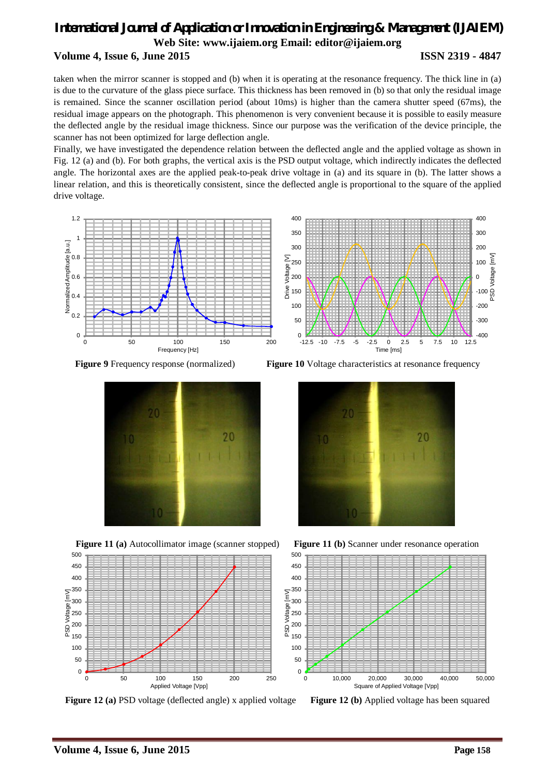taken when the mirror scanner is stopped and (b) when it is operating at the resonance frequency. The thick line in (a) is due to the curvature of the glass piece surface. This thickness has been removed in (b) so that only the residual image is remained. Since the scanner oscillation period (about 10ms) is higher than the camera shutter speed (67ms), the residual image appears on the photograph. This phenomenon is very convenient because it is possible to easily measure the deflected angle by the residual image thickness. Since our purpose was the verification of the device principle, the scanner has not been optimized for large deflection angle.

Finally, we have investigated the dependence relation between the deflected angle and the applied voltage as shown in Fig. 12 (a) and (b). For both graphs, the vertical axis is the PSD output voltage, which indirectly indicates the deflected angle. The horizontal axes are the applied peak-to-peak drive voltage in (a) and its square in (b). The latter shows a linear relation, and this is theoretically consistent, since the deflected angle is proportional to the square of the applied drive voltage.









**Figure 12 (a)** PSD voltage (deflected angle) x applied voltage **Figure 12 (b)** Applied voltage has been squared

**Figure 9** Frequency response (normalized) **Figure 10** Voltage characteristics at resonance frequency





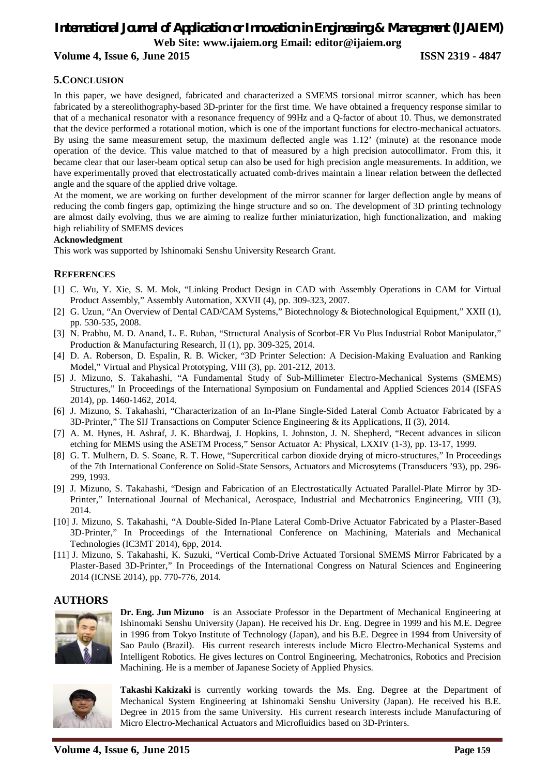# *International Journal of Application or Innovation in Engineering & Management (IJAIEM)* **Web Site: www.ijaiem.org Email: editor@ijaiem.org**

#### **Volume 4, Issue 6, June 2015 ISSN 2319 - 4847**

#### **5.CONCLUSION**

In this paper, we have designed, fabricated and characterized a SMEMS torsional mirror scanner, which has been fabricated by a stereolithography-based 3D-printer for the first time. We have obtained a frequency response similar to that of a mechanical resonator with a resonance frequency of 99Hz and a Q-factor of about 10. Thus, we demonstrated that the device performed a rotational motion, which is one of the important functions for electro-mechanical actuators. By using the same measurement setup, the maximum deflected angle was 1.12' (minute) at the resonance mode operation of the device. This value matched to that of measured by a high precision autocollimator. From this, it became clear that our laser-beam optical setup can also be used for high precision angle measurements. In addition, we have experimentally proved that electrostatically actuated comb-drives maintain a linear relation between the deflected angle and the square of the applied drive voltage.

At the moment, we are working on further development of the mirror scanner for larger deflection angle by means of reducing the comb fingers gap, optimizing the hinge structure and so on. The development of 3D printing technology are almost daily evolving, thus we are aiming to realize further miniaturization, high functionalization, and making high reliability of SMEMS devices

#### **Acknowledgment**

This work was supported by Ishinomaki Senshu University Research Grant.

#### **REFERENCES**

- [1] C. Wu, Y. Xie, S. M. Mok, "Linking Product Design in CAD with Assembly Operations in CAM for Virtual Product Assembly," Assembly Automation, XXVII (4), pp. 309-323, 2007.
- [2] G. Uzun, "An Overview of Dental CAD/CAM Systems," Biotechnology & Biotechnological Equipment," XXII (1), pp. 530-535, 2008.
- [3] N. Prabhu, M. D. Anand, L. E. Ruban, "Structural Analysis of Scorbot-ER Vu Plus Industrial Robot Manipulator," Production & Manufacturing Research, II (1), pp. 309-325, 2014.
- [4] D. A. Roberson, D. Espalin, R. B. Wicker, "3D Printer Selection: A Decision-Making Evaluation and Ranking Model," Virtual and Physical Prototyping, VIII (3), pp. 201-212, 2013.
- [5] J. Mizuno, S. Takahashi, "A Fundamental Study of Sub-Millimeter Electro-Mechanical Systems (SMEMS) Structures," In Proceedings of the International Symposium on Fundamental and Applied Sciences 2014 (ISFAS 2014), pp. 1460-1462, 2014.
- [6] J. Mizuno, S. Takahashi, "Characterization of an In-Plane Single-Sided Lateral Comb Actuator Fabricated by a 3D-Printer," The SIJ Transactions on Computer Science Engineering & its Applications, II (3), 2014.
- [7] A. M. Hynes, H. Ashraf, J. K. Bhardwaj, J. Hopkins, I. Johnston, J. N. Shepherd, "Recent advances in silicon etching for MEMS using the ASETM Process," Sensor Actuator A: Physical, LXXIV (1-3), pp. 13-17, 1999.
- [8] G. T. Mulhern, D. S. Soane, R. T. Howe, "Supercritical carbon dioxide drying of micro-structures," In Proceedings of the 7th International Conference on Solid-State Sensors, Actuators and Microsytems (Transducers '93), pp. 296- 299, 1993.
- [9] J. Mizuno, S. Takahashi, "Design and Fabrication of an Electrostatically Actuated Parallel-Plate Mirror by 3D-Printer," International Journal of Mechanical, Aerospace, Industrial and Mechatronics Engineering, VIII (3), 2014.
- [10] J. Mizuno, S. Takahashi, "A Double-Sided In-Plane Lateral Comb-Drive Actuator Fabricated by a Plaster-Based 3D-Printer," In Proceedings of the International Conference on Machining, Materials and Mechanical Technologies (IC3MT 2014), 6pp, 2014.
- [11] J. Mizuno, S. Takahashi, K. Suzuki, "Vertical Comb-Drive Actuated Torsional SMEMS Mirror Fabricated by a Plaster-Based 3D-Printer," In Proceedings of the International Congress on Natural Sciences and Engineering 2014 (ICNSE 2014), pp. 770-776, 2014.

#### **AUTHORS**



**Dr. Eng. Jun Mizuno** is an Associate Professor in the Department of Mechanical Engineering at Ishinomaki Senshu University (Japan). He received his Dr. Eng. Degree in 1999 and his M.E. Degree in 1996 from Tokyo Institute of Technology (Japan), and his B.E. Degree in 1994 from University of Sao Paulo (Brazil). His current research interests include Micro Electro-Mechanical Systems and Intelligent Robotics. He gives lectures on Control Engineering, Mechatronics, Robotics and Precision Machining. He is a member of Japanese Society of Applied Physics.



**Takashi Kakizaki** is currently working towards the Ms. Eng. Degree at the Department of Mechanical System Engineering at Ishinomaki Senshu University (Japan). He received his B.E. Degree in 2015 from the same University. His current research interests include Manufacturing of Micro Electro-Mechanical Actuators and Microfluidics based on 3D-Printers.